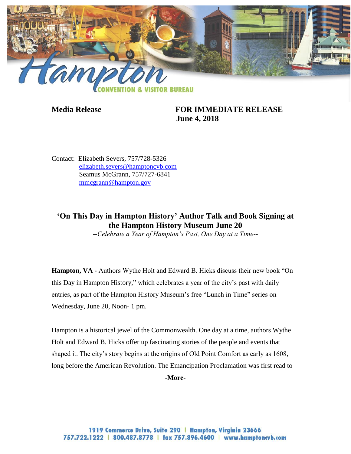

## **Media Release FOR IMMEDIATE RELEASE June 4, 2018**

Contact: Elizabeth Severs, 757/728-5326 [elizabeth.severs@hamptoncvb.com](mailto:elizabeth.severs@hamptoncvb.com) Seamus McGrann, 757/727-6841 [mmcgrann@hampton.gov](mailto:mmcgrann@hampton.gov)

# **'On This Day in Hampton History' Author Talk and Book Signing at the Hampton History Museum June 20**

*--Celebrate a Year of Hampton's Past, One Day at a Time--*

**Hampton, VA -** Authors Wythe Holt and Edward B. Hicks discuss their new book "On this Day in Hampton History," which celebrates a year of the city's past with daily entries, as part of the Hampton History Museum's free "Lunch in Time" series on Wednesday, June 20, Noon- 1 pm.

Hampton is a historical jewel of the Commonwealth. One day at a time, authors Wythe Holt and Edward B. Hicks offer up fascinating stories of the people and events that shaped it. The city's story begins at the origins of Old Point Comfort as early as 1608, long before the American Revolution. The Emancipation Proclamation was first read to

**-More-**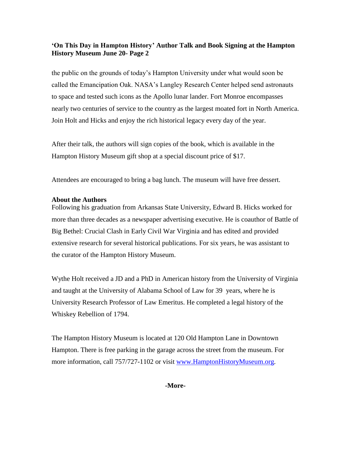## **'On This Day in Hampton History' Author Talk and Book Signing at the Hampton History Museum June 20- Page 2**

the public on the grounds of today's Hampton University under what would soon be called the Emancipation Oak. NASA's Langley Research Center helped send astronauts to space and tested such icons as the Apollo lunar lander. Fort Monroe encompasses nearly two centuries of service to the country as the largest moated fort in North America. Join Holt and Hicks and enjoy the rich historical legacy every day of the year.

After their talk, the authors will sign copies of the book, which is available in the Hampton History Museum gift shop at a special discount price of \$17.

Attendees are encouraged to bring a bag lunch. The museum will have free dessert.

#### **About the Authors**

Following his graduation from Arkansas State University, Edward B. Hicks worked for more than three decades as a newspaper advertising executive. He is coauthor of Battle of Big Bethel: Crucial Clash in Early Civil War Virginia and has edited and provided extensive research for several historical publications. For six years, he was assistant to the curator of the Hampton History Museum.

Wythe Holt received a JD and a PhD in American history from the University of Virginia and taught at the University of Alabama School of Law for 39 years, where he is University Research Professor of Law Emeritus. He completed a legal history of the Whiskey Rebellion of 1794.

The Hampton History Museum is located at 120 Old Hampton Lane in Downtown Hampton. There is free parking in the garage across the street from the museum. For more information, call 757/727-1102 or visit [www.HamptonHistoryMuseum.org.](http://www.hamptonhistorymuseum.org/)

**-More-**